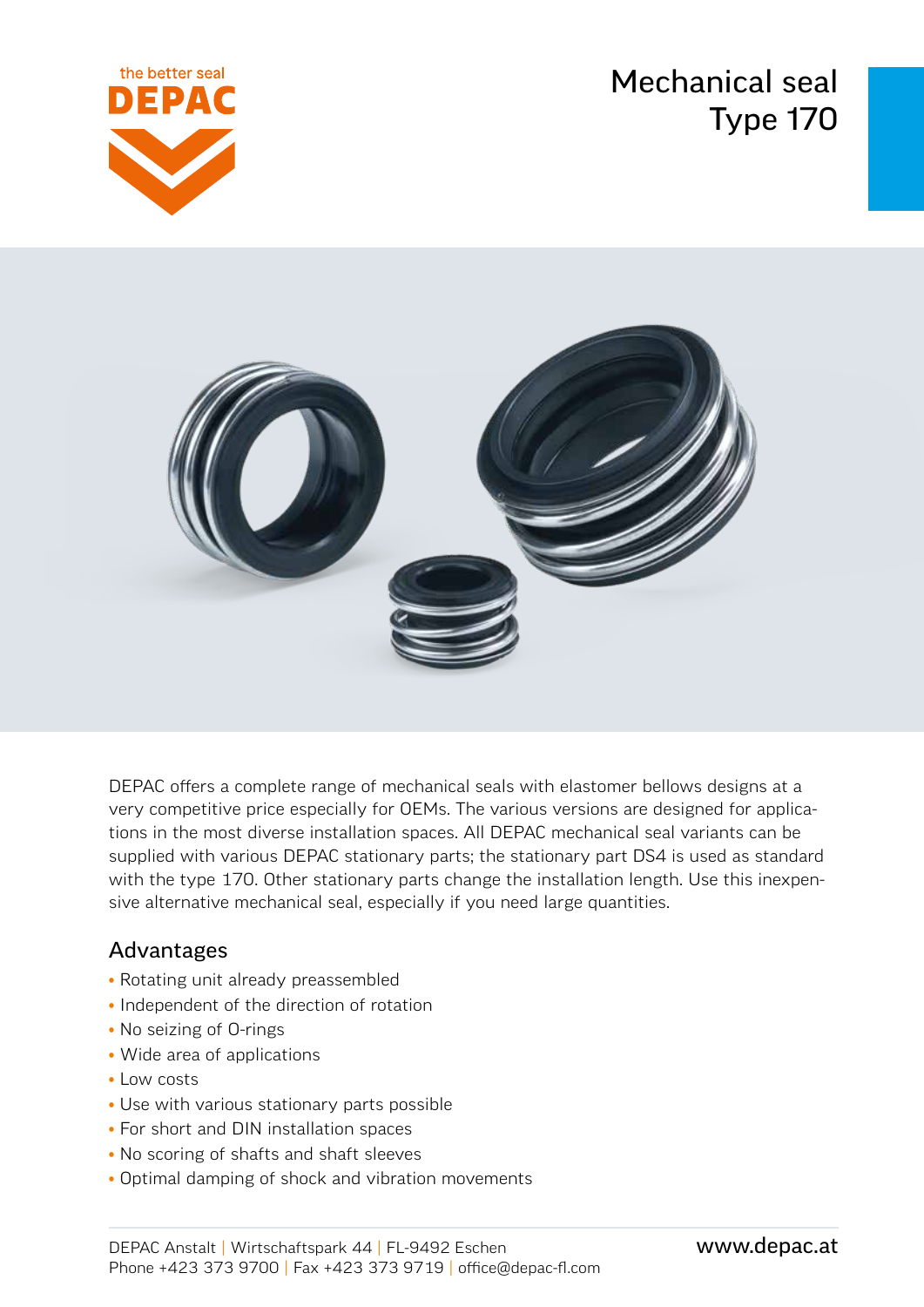Mechanical seal Type 170





DEPAC offers a complete range of mechanical seals with elastomer bellows designs at a very competitive price especially for OEMs. The various versions are designed for applications in the most diverse installation spaces. All DEPAC mechanical seal variants can be supplied with various DEPAC stationary parts; the stationary part DS4 is used as standard with the type 170. Other stationary parts change the installation length. Use this inexpensive alternative mechanical seal, especially if you need large quantities.

### Advantages

- Rotating unit already preassembled
- Independent of the direction of rotation
- No seizing of O-rings
- Wide area of applications
- Low costs
- Use with various stationary parts possible
- For short and DIN installation spaces
- No scoring of shafts and shaft sleeves
- Optimal damping of shock and vibration movements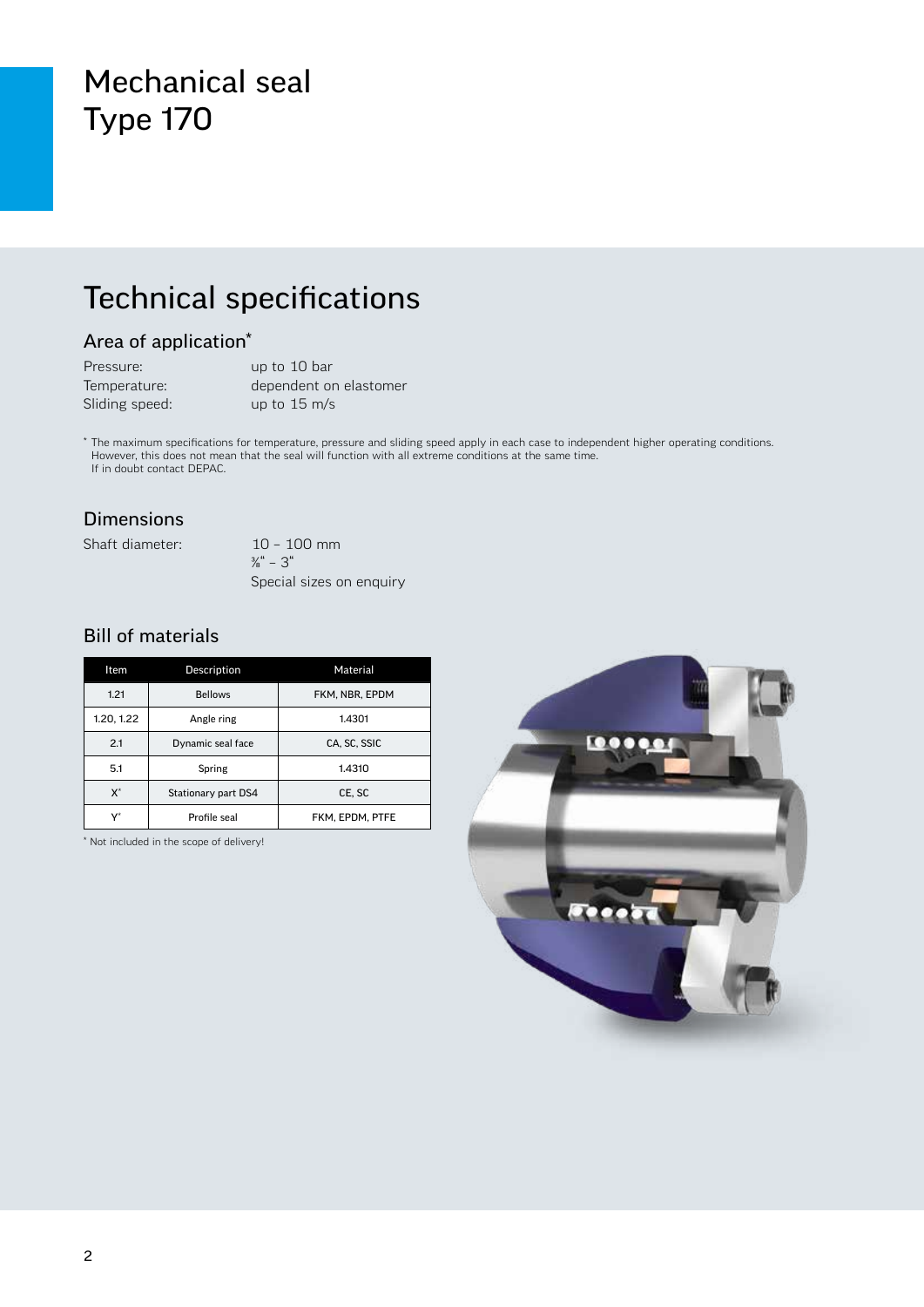### Mechanical seal Type 170

# Technical specifications

#### Area of application\*

| Pressure:      | up to 10 bar           |
|----------------|------------------------|
| Temperature:   | dependent on elastomer |
| Sliding speed: | up to $15 \text{ m/s}$ |

\* The maximum specifications for temperature, pressure and sliding speed apply in each case to independent higher operating conditions. However, this does not mean that the seal will function with all extreme conditions at the same time. If in doubt contact DEPAC.

#### Dimensions

Shaft diameter: 10 – 100 mm

 $\frac{3}{8}$ " – 3" Special sizes on enquiry

#### Bill of materials

| Item           | Description         | Material        |
|----------------|---------------------|-----------------|
| 1.21           | <b>Bellows</b>      | FKM, NBR, EPDM  |
| 1.20, 1.22     | Angle ring          | 1.4301          |
| 2.1            | Dynamic seal face   | CA. SC. SSIC    |
| 5.1            | Spring              | 1.4310          |
| $X^*$          | Stationary part DS4 | CE, SC          |
| $\mathbf{v}^*$ | Profile seal        | FKM. EPDM. PTFE |

\* Not included in the scope of delivery!

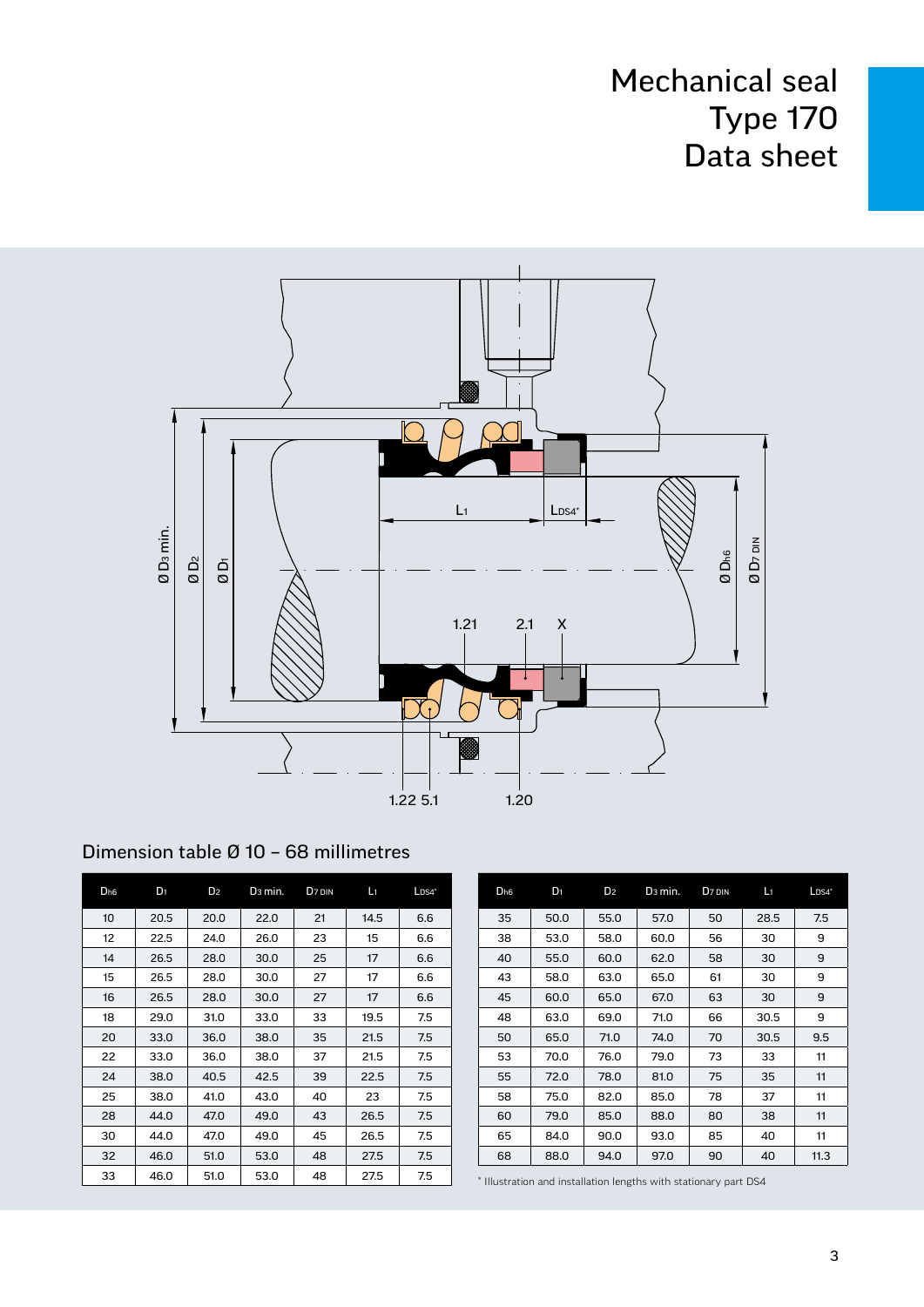# Mechanical seal Type 170 Data sheet



| Dimension table Ø 10 - 68 millimetres |  |  |
|---------------------------------------|--|--|
|---------------------------------------|--|--|

| D <sub>h6</sub> | $D_1$ | D <sub>2</sub> | D <sub>3</sub> min. | D <sub>7</sub> DIN | $L_1$ | $L$ <sub>DS4</sub> $*$ |                                                                  | D <sub>h6</sub> | D <sub>1</sub> | D <sub>2</sub> | D <sub>3</sub> min. | D <sub>7</sub> DIN | Li   | $L$ <sub>DS4</sub> $*$ |
|-----------------|-------|----------------|---------------------|--------------------|-------|------------------------|------------------------------------------------------------------|-----------------|----------------|----------------|---------------------|--------------------|------|------------------------|
| 10              | 20.5  | 20.0           | 22.0                | 21                 | 14.5  | 6.6                    |                                                                  | 35              | 50.0           | 55.0           | 57.0                | 50                 | 28.5 | 7.5                    |
| 12              | 22.5  | 24.0           | 26.0                | 23                 | 15    | 6.6                    |                                                                  | 38              | 53.0           | 58.0           | 60.0                | 56                 | 30   | 9                      |
| 14              | 26.5  | 28.0           | 30.0                | 25                 | 17    | 6.6                    |                                                                  | 40              | 55.0           | 60.0           | 62.0                | 58                 | 30   | 9                      |
| 15              | 26.5  | 28.0           | 30.0                | 27                 | 17    | 6.6                    |                                                                  | 43              | 58.0           | 63.0           | 65.0                | 61                 | 30   | 9                      |
| 16              | 26.5  | 28.0           | 30.0                | 27                 | 17    | 6.6                    |                                                                  | 45              | 60.0           | 65.0           | 67.0                | 63                 | 30   | 9                      |
| 18              | 29.0  | 31.0           | 33.0                | 33                 | 19.5  | 7.5                    |                                                                  | 48              | 63.0           | 69.0           | 71.0                | 66                 | 30.5 | 9                      |
| 20              | 33.0  | 36.0           | 38.0                | 35                 | 21.5  | 7.5                    |                                                                  | 50              | 65.0           | 71.0           | 74.0                | 70                 | 30.5 | 9.5                    |
| 22              | 33.0  | 36.0           | 38.0                | 37                 | 21.5  | 7.5                    |                                                                  | 53              | 70.0           | 76.0           | 79.0                | 73                 | 33   | 11                     |
| 24              | 38.0  | 40.5           | 42.5                | 39                 | 22.5  | 7.5                    |                                                                  | 55              | 72.0           | 78.0           | 81.0                | 75                 | 35   | 11                     |
| 25              | 38.0  | 41.0           | 43.0                | 40                 | 23    | 7.5                    |                                                                  | 58              | 75.0           | 82.0           | 85.0                | 78                 | 37   | 11                     |
| 28              | 44.0  | 47.0           | 49.0                | 43                 | 26.5  | 7.5                    |                                                                  | 60              | 79.0           | 85.0           | 88.0                | 80                 | 38   | 11                     |
| 30              | 44.0  | 47.0           | 49.0                | 45                 | 26.5  | 7.5                    |                                                                  | 65              | 84.0           | 90.0           | 93.0                | 85                 | 40   | 11                     |
| 32              | 46.0  | 51.0           | 53.0                | 48                 | 27.5  | 7.5                    |                                                                  | 68              | 88.0           | 94.0           | 97.0                | 90                 | 40   | 11.3                   |
| 33              | 46.0  | 51.0           | 53.0                | 48                 | 27.5  | 7.5                    | * Illustration and installation lengths with stationary part DS4 |                 |                |                |                     |                    |      |                        |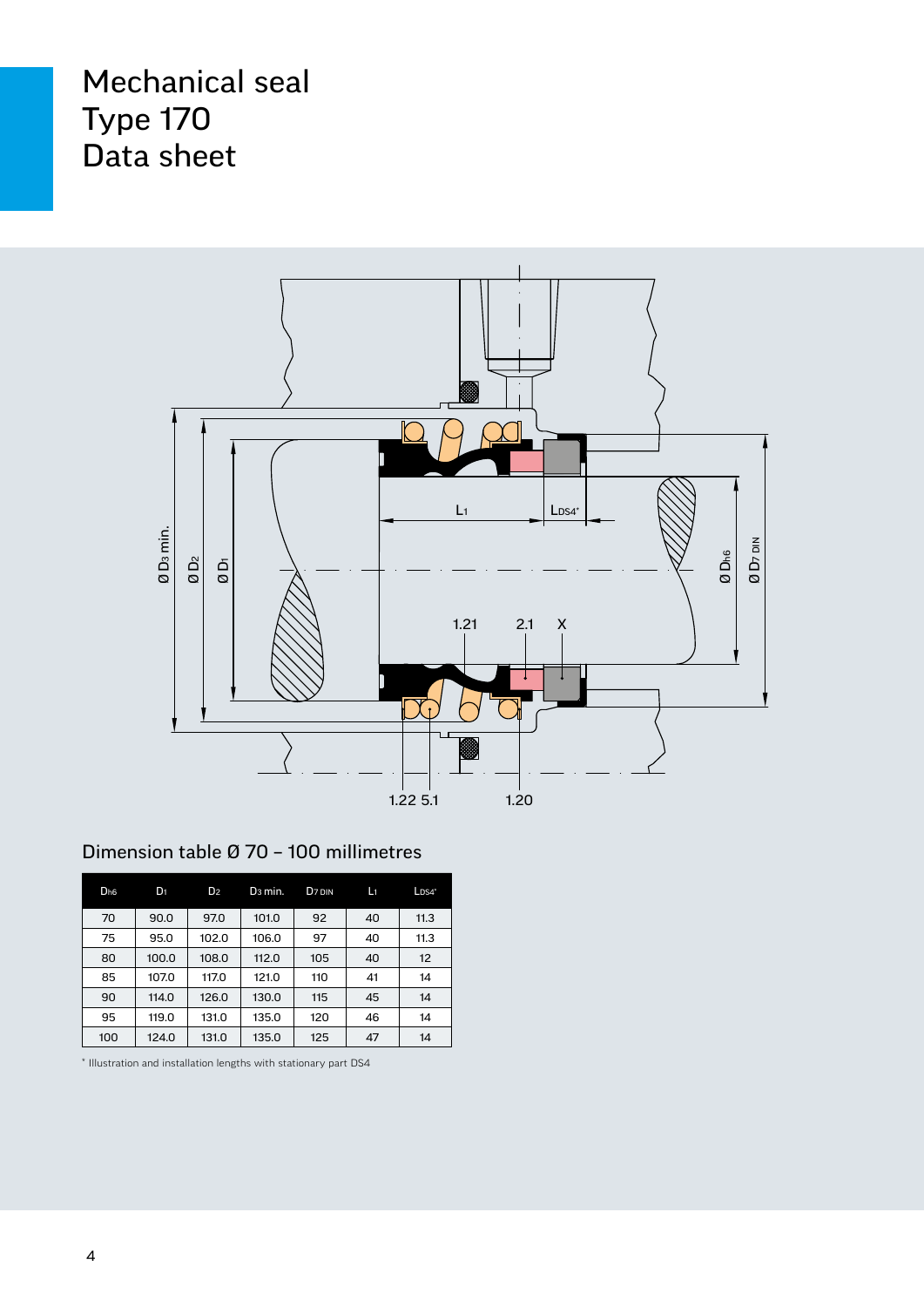# Mechanical seal Type 170 Data sheet



#### Dimension table Ø 70 – 100 millimetres

| D <sub>h6</sub> | $D_1$ | D <sub>2</sub> | D <sub>3</sub> min. | D <sub>7</sub> DIN | Lı | $LDS4*$ |
|-----------------|-------|----------------|---------------------|--------------------|----|---------|
| 70              | 90.0  | 97.0           | 101.0               | 92                 | 40 | 11.3    |
| 75              | 95.0  | 102.0          | 106.0               | 97                 | 40 | 11.3    |
| 80              | 100.0 | 108.0          | 112.0               | 105                | 40 | 12      |
| 85              | 107.0 | 117.0          | 121.0               | 110                | 41 | 14      |
| 90              | 114.0 | 126.0          | 130.0               | 115                | 45 | 14      |
| 95              | 119.0 | 131.0          | 135.0               | 120                | 46 | 14      |
| 100             | 124.0 | 131.0          | 135.0               | 125                | 47 | 14      |

\* Illustration and installation lengths with stationary part DS4